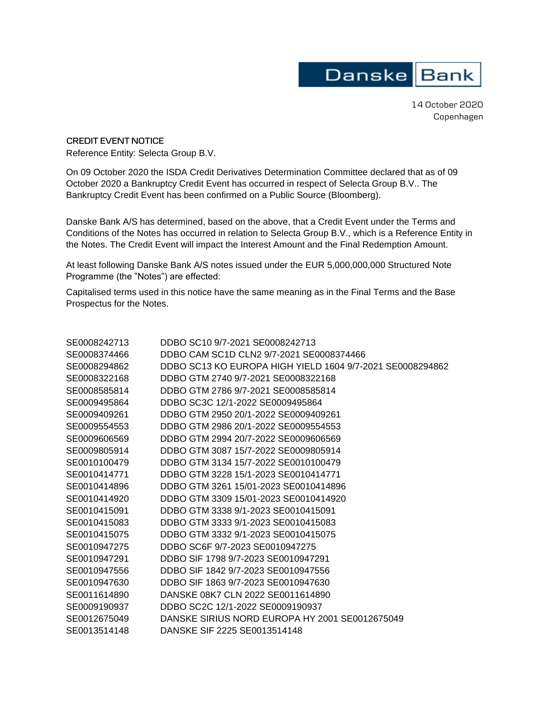## Danske Bank

14 October 2020 Copenhagen

**CREDIT EVENT NOTICE**  Reference Entity: Selecta Group B.V.

On 09 October 2020 the ISDA Credit Derivatives Determination Committee declared that as of 09 October 2020 a Bankruptcy Credit Event has occurred in respect of Selecta Group B.V.. The Bankruptcy Credit Event has been confirmed on a Public Source (Bloomberg).

Danske Bank A/S has determined, based on the above, that a Credit Event under the Terms and Conditions of the Notes has occurred in relation to Selecta Group B.V., which is a Reference Entity in the Notes. The Credit Event will impact the Interest Amount and the Final Redemption Amount.

At least following Danske Bank A/S notes issued under the EUR 5,000,000,000 Structured Note Programme (the "Notes") are effected:

Capitalised terms used in this notice have the same meaning as in the Final Terms and the Base Prospectus for the Notes.

| SE0008242713 | DDBO SC10 9/7-2021 SE0008242713                           |
|--------------|-----------------------------------------------------------|
| SE0008374466 | DDBO CAM SC1D CLN2 9/7-2021 SE0008374466                  |
| SE0008294862 | DDBO SC13 KO EUROPA HIGH YIELD 1604 9/7-2021 SE0008294862 |
| SE0008322168 | DDBO GTM 2740 9/7-2021 SE0008322168                       |
| SE0008585814 | DDBO GTM 2786 9/7-2021 SE0008585814                       |
| SE0009495864 | DDBO SC3C 12/1-2022 SE0009495864                          |
| SE0009409261 | DDBO GTM 2950 20/1-2022 SE0009409261                      |
| SE0009554553 | DDBO GTM 2986 20/1-2022 SE0009554553                      |
| SE0009606569 | DDBO GTM 2994 20/7-2022 SE0009606569                      |
| SE0009805914 | DDBO GTM 3087 15/7-2022 SE0009805914                      |
| SE0010100479 | DDBO GTM 3134 15/7-2022 SE0010100479                      |
| SE0010414771 | DDBO GTM 3228 15/1-2023 SE0010414771                      |
| SE0010414896 | DDBO GTM 3261 15/01-2023 SE0010414896                     |
| SE0010414920 | DDBO GTM 3309 15/01-2023 SE0010414920                     |
| SE0010415091 | DDBO GTM 3338 9/1-2023 SE0010415091                       |
| SE0010415083 | DDBO GTM 3333 9/1-2023 SE0010415083                       |
| SE0010415075 | DDBO GTM 3332 9/1-2023 SE0010415075                       |
| SE0010947275 | DDBO SC6F 9/7-2023 SE0010947275                           |
| SE0010947291 | DDBO SIF 1798 9/7-2023 SE0010947291                       |
| SE0010947556 | DDBO SIF 1842 9/7-2023 SE0010947556                       |
| SE0010947630 | DDBO SIF 1863 9/7-2023 SE0010947630                       |
| SE0011614890 | DANSKE 08K7 CLN 2022 SE0011614890                         |
| SE0009190937 | DDBO SC2C 12/1-2022 SE0009190937                          |
| SE0012675049 | DANSKE SIRIUS NORD EUROPA HY 2001 SE0012675049            |
| SE0013514148 | DANSKE SIF 2225 SE0013514148                              |
|              |                                                           |